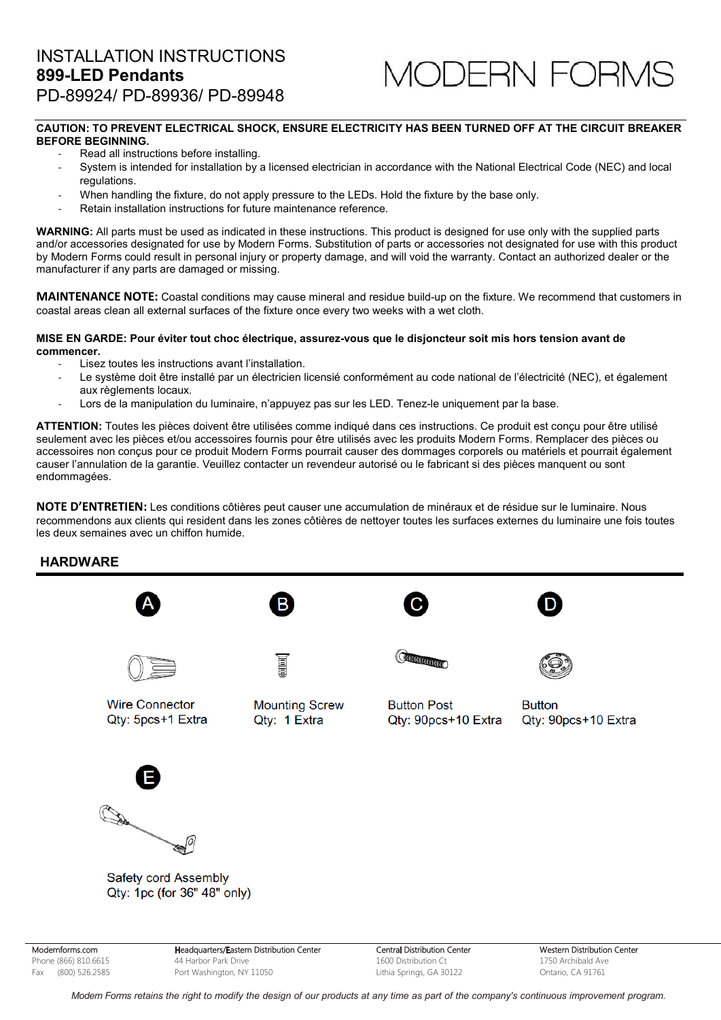# **MODERN FORMS**

### **CAUTION: TO PREVENT ELECTRICAL SHOCK, ENSURE ELECTRICITY HAS BEEN TURNED OFF AT THE CIRCUIT BREAKER BEFORE BEGINNING.**

- Read all instructions before installing.
- System is intended for installation by a licensed electrician in accordance with the National Electrical Code (NEC) and local regulations.
- When handling the fixture, do not apply pressure to the LEDs. Hold the fixture by the base only.
- Retain installation instructions for future maintenance reference.

**WARNING:** All parts must be used as indicated in these instructions. This product is designed for use only with the supplied parts and/or accessories designated for use by Modern Forms. Substitution of parts or accessories not designated for use with this product by Modern Forms could result in personal injury or property damage, and will void the warranty. Contact an authorized dealer or the manufacturer if any parts are damaged or missing.

**MAINTENANCE NOTE:** Coastal conditions may cause mineral and residue build-up on the fixture. We recommend that customers in coastal areas clean all external surfaces of the fixture once every two weeks with a wet cloth.

#### **MISE EN GARDE: Pour éviter tout choc électrique, assurez-vous que le disjoncteur soit mis hors tension avant de commencer.**

- Lisez toutes les instructions avant l'installation.
- Le système doit être installé par un électricien licensié conformément au code national de l'électricité (NEC), et également aux règlements locaux.
- Lors de la manipulation du luminaire, n'appuyez pas sur les LED. Tenez-le uniquement par la base.

**ATTENTION:** Toutes les pièces doivent être utilisées comme indiqué dans ces instructions. Ce produit est conçu pour être utilisé seulement avec les pièces et/ou accessoires fournis pour être utilisés avec les produits Modern Forms. Remplacer des pièces ou accessoires non conçus pour ce produit Modern Forms pourrait causer des dommages corporels ou matériels et pourrait également causer l'annulation de la garantie. Veuillez contacter un revendeur autorisé ou le fabricant si des pièces manquent ou sont endommagées.

**NOTE D'ENTRETIEN:** Les conditions côtières peut causer une accumulation de minéraux et de résidue sur le luminaire. Nous recommendons aux clients qui resident dans les zones côtières de nettoyer toutes les surfaces externes du luminaire une fois toutes les deux semaines avec un chiffon humide.

## **HARDWARE**











**Wire Connector** Qty: 5pcs+1 Extra

**Mounting Screw** Qtv: 1 Extra

**Button Post** Qty: 90pcs+10 Extra

**Rutton** Qty: 90pcs+10 Extra



Safety cord Assembly Qty: 1pc (for 36" 48" only)

Modernforms.com Phone (866) 810.6615 Fax (800) 526.2585

Headquarters/Eastern Distribution Center 44 Harbor Park Drive Port Washington, NY 11050

Central Distribution Center 1600 Distribution Ct Lithia Springs, GA 30122

Western Distribution Center 1750 Archibald Ave Ontario, CA 91761

Modern Forms retains the right to modify the design of our products at any time as part of the company's continuous improvement program.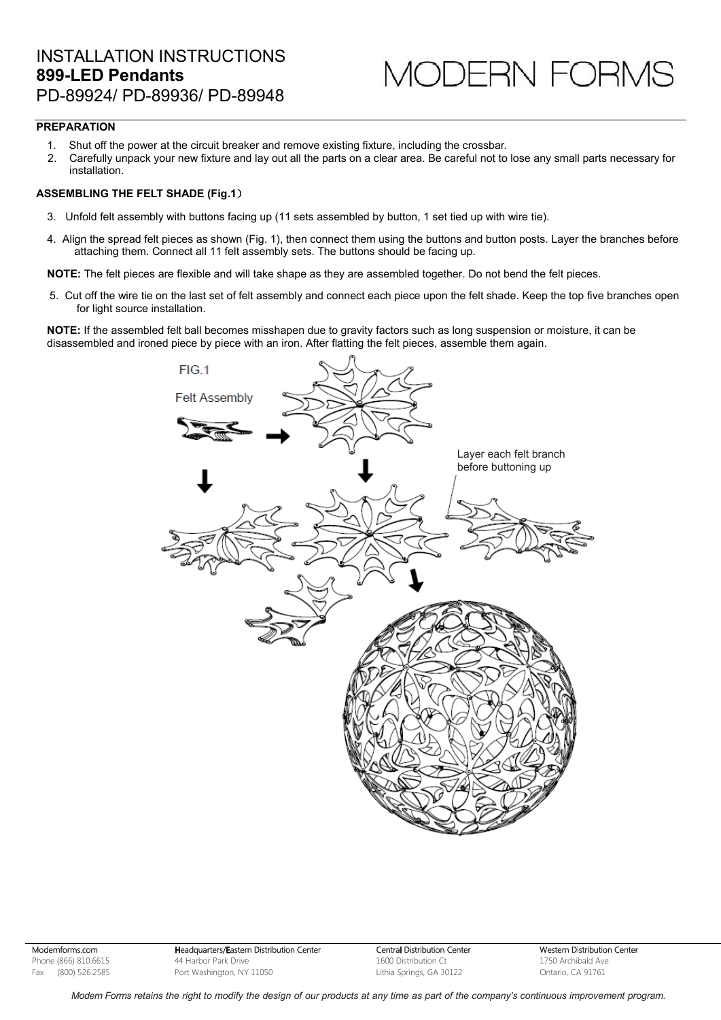## INSTALLATION INSTRUCTIONS **899-LED Pendants** PD-89924/ PD-89936/ PD-89948

# 10DERN FORMS

## **PREPARATION**

- 1. Shut off the power at the circuit breaker and remove existing fixture, including the crossbar.
- 2. Carefully unpack your new fixture and lay out all the parts on a clear area. Be careful not to lose any small parts necessary for installation.

### **ASSEMBLING THE FELT SHADE (Fig.1)**

- 3. Unfold felt assembly with buttons facing up (11 sets assembled by button, 1 set tied up with wire tie).
- 4. Align the spread felt pieces as shown (Fig. 1), then connect them using the buttons and button posts. Layer the branches before attaching them. Connect all 11 felt assembly sets. The buttons should be facing up.

**NOTE:** The felt pieces are flexible and will take shape as they are assembled together. Do not bend the felt pieces.

5. Cut off the wire tie on the last set of felt assembly and connect each piece upon the felt shade. Keep the top five branches open for light source installation.

**NOTE:** If the assembled felt ball becomes misshapen due to gravity factors such as long suspension or moisture, it can be disassembled and ironed piece by piece with an iron. After flatting the felt pieces, assemble them again.



Modernforms.com Phone (866) 810.6615 Fax (800) 526.2585

Headquarters/Eastern Distribution Center 44 Harbor Park Drive Port Washington, NY 11050

Central Distribution Center 1600 Distribution Ct Lithia Springs, GA 30122

Western Distribution Center 1750 Archibald Ave Ontario, CA 91761

Modern Forms retains the right to modify the design of our products at any time as part of the company's continuous improvement program.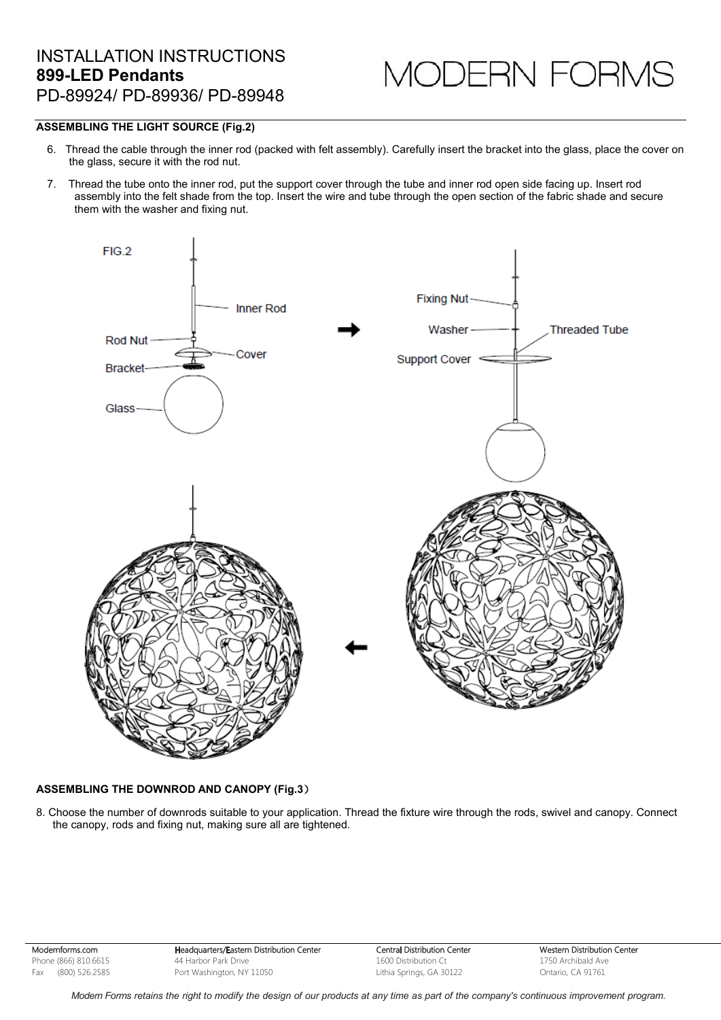MODERN FORM

## **ASSEMBLING THE LIGHT SOURCE (Fig.2)**

- 6. Thread the cable through the inner rod (packed with felt assembly). Carefully insert the bracket into the glass, place the cover on the glass, secure it with the rod nut.
- 7. Thread the tube onto the inner rod, put the support cover through the tube and inner rod open side facing up. Insert rod assembly into the felt shade from the top. Insert the wire and tube through the open section of the fabric shade and secure them with the washer and fixing nut.



#### **ASSEMBLING THE DOWNROD AND CANOPY (Fig.3)**

8. Choose the number of downrods suitable to your application. Thread the fixture wire through the rods, swivel and canopy. Connect the canopy, rods and fixing nut, making sure all are tightened.

Modernforms.com Phone (866) 810.6615 Fax (800) 526.2585

Headquarters/Eastern Distribution Center 44 Harbor Park Drive Port Washington, NY 11050

Central Distribution Center 1600 Distribution Ct Lithia Springs, GA 30122

Western Distribution Center 1750 Archibald Ave Ontario, CA 91761

Modern Forms retains the right to modify the design of our products at any time as part of the company's continuous improvement program.